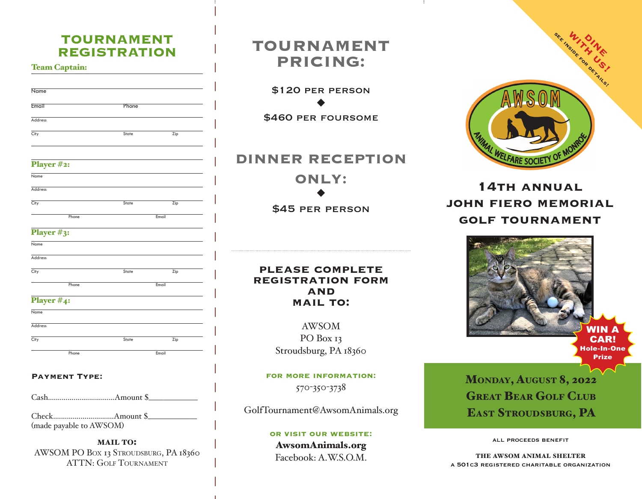# **TOURNAMENT REGISTRATION**

#### Team Captain:

| <b>Name</b>    |       |     |
|----------------|-------|-----|
| Email          | Phone |     |
| <b>Address</b> |       |     |
| City           | State | Zip |

# **TOURNAMENT PRICING:**

\$120 per person  $\blacklozenge$ 

\$460 per foursome

# **DINNER RECEPTION ONLY:**  $\blacklozenge$

\$45 per person

### **please complete registration form and mail to:**

AWSOM PO Box 13 Stroudsburg, PA 18360

**for more information:** 570-350-3738

GolfTournament@AwsomAnimals.org

#### **or visit our website:**

### AwsomAnimals.org Facebook: A.W.S.O.M.



# **14th annual john fiero memorial golf tournament**



# Monday, August 8, 2022 **GREAT BEAR GOLF CLUB** EAST STROUDSBURG, PA

all proceeds benefit

the awsom animal shelter a 501c3 registered charitable organization

# Phone **Email**

Player #2:

Name Address

#### Player #3:

| Name    |       |       |  |
|---------|-------|-------|--|
| Address |       |       |  |
| City    | State | Zip   |  |
| Phone   |       | Email |  |

City **State** Zip

### Player #4:

| Name    |       |       |
|---------|-------|-------|
| Address |       |       |
| City    | State | Zip   |
| Phone   |       | Email |

#### **Payment Type:**

Cash..................................Amount \$\_\_\_\_\_\_\_\_\_\_\_\_\_

Check...............................Amount \$\_\_\_\_\_\_\_\_\_\_\_\_\_ (made payable to AWSOM)

**MAIL TO:** AWSOM PO BOX 13 STROUDSBURG, PA 18360 ATTN: Golf Tournament